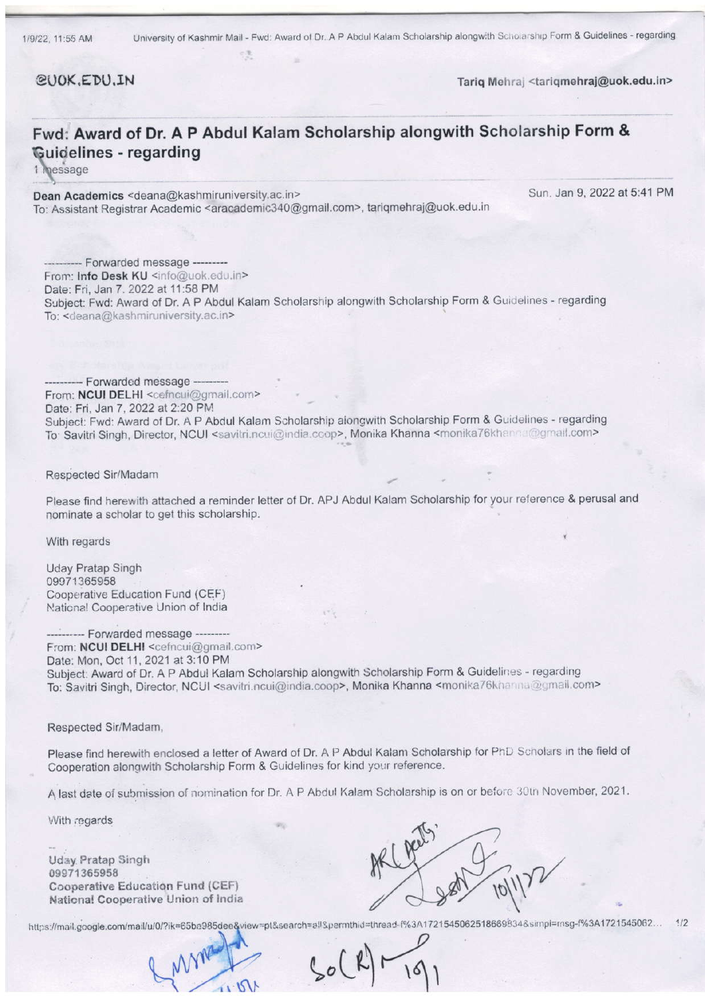CUOK.EDU.IN

Tariq Mehraj <tariqmehraj@uok.edu.in>

## Fwd: Award of Dr. A P Abdul Kalam Scholarship alongwith Scholarship Form & Guidelines - regarding

1 message

Dean Academics <deana@kashmiruniversity.ac.in> To: Assistant Registrar Academic <aracademic340@gmail.com>, tariqmehraj@uok.edu.in Sun. Jan 9, 2022 at 5:41 PM

--- Forwarded message ---From: Info Desk KU <info@uok.edu.in> Date: Fri, Jan 7. 2022 at 11:58 PM Subject: Fwd: Award of Dr. A P Abdul Kalam Scholarship alongwith Scholarship Form & Guidelines - regarding To: <deana@kashmiruniversity.ac.in>

Forwarded message ---From: NCUI DELHI <cefncui@gmail.com> Date: Fri, Jan 7, 2022 at 2:20 PM Subject: Fwd: Award of Dr. A P Abdul Kalam Scholarship aiongwith Scholarship Form & Guidelines - regarding To Savitri Singh, Director, NCUI <savitri.ncui@india.ccop>, Monika Khanna <monika76khanna@gmail.com>

Respected Sir/Madam

Please find herewith attached a reminder letter of Dr. APJ Abdul Kalam Scholarship for your reference & perusal and nominate a scholar to get this scholarship.

With regards

Uday Pratap Singh 09071365958 Cooperative Education Fund (CEF) National Cooperative Union of India

------- Forwarded message ---------From: NCUI DELHI <cefncui@gmail.com> Date: Mon, Oct 11, 2021 at 3:10 PM Subject: Award of Dr. A P Abdul Kalam Scholarship alongwith Scholarship Form & Guidelines - regarding Subject: Award of Br. A P. Abddi Ralam Scholarship dionginal constationip Form di Celebratory governments of the To

Respecled Sir/Madam,

Please find herewith enclosed a letter of Award of Dr. A P Abdul Kalam Scholarship for PhD Scholars in the field of Cooperation alongwith Scholarship Form & Guidelines for kind your reference.

A last date of submission of nomination for Dr. A P Abdul Kalam Scholarship is on or before 30th November, 2021.

With regards

Uday Pratap Singh 09971365958 Cooperative Education Fund (CEF) Naticnal Cooperative Union of lndia



https://mail.google.com/mail/u/0/?ik=65ba985dee&view=pt&search=all&permthid=thread-f%3A1721545062518669834&simpl=rnsg-f%3A1721545062... 1/2

 $, 151$ 

 $s_{o}(k)$  $\sim$ 191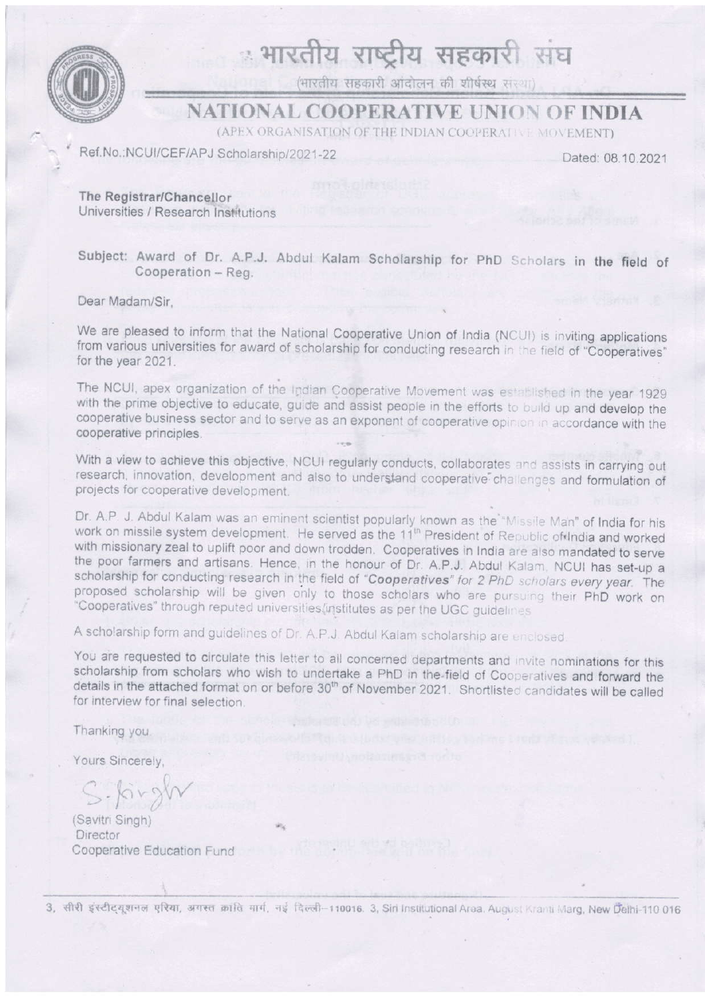

# ः भारतीय राष्ट्रीय सहकारी संघ

(भारतीय सहकारी आंदोलन की शीर्षस्थ संस्था)

### **NATIONAL COOPERATIVE UNION OF INDIA**

(APEX ORGANISATION OF THE INDIAN COOPERATIVE MOVEMENT)

Ref.No.:NCUI/CEF/APJ Scholarship/2021-22

Dated: 08.10.2021

The Registrar/Chancellor Universities / Research Institutions

Subject: Award of Dr. A.P.J. Abdul Kalam Scholarship for PhD Scholars in the field of Cooperation - Reg.

Dear Madam/Sir.

We are pleased to inform that the National Cooperative Union of India (NCUI) is inviting applications from various universities for award of scholarship for conducting research in the field of "Cooperatives" for the year 2021.

The NCUI, apex organization of the Indian Cooperative Movement was established in the year 1929 with the prime objective to educate, guide and assist people in the efforts to build up and develop the cooperative business sector and to serve as an exponent of cooperative opinion in accordance with the cooperative principles.

With a view to achieve this objective, NCUI regularly conducts, collaborates and assists in carrying out research, innovation, development and also to understand cooperative challenges and formulation of projects for cooperative development.

Dr. A.P. J. Abdul Kalam was an eminent scientist popularly known as the "Missile Man" of India for his work on missile system development. He served as the 11<sup>th</sup> President of Republic of India and worked with missionary zeal to uplift poor and down trodden. Cooperatives in India are also mandated to serve the poor farmers and artisans. Hence, in the honour of Dr. A.P.J. Abdul Kalam, NCUI has set-up a scholarship for conducting research in the field of "Cooperatives" for 2 PhD scholars every year. The proposed scholarship will be given only to those scholars who are pursuing their PhD work on "Cooperatives" through reputed universities/institutes as per the UGC guidelines

A scholarship form and guidelines of Dr. A.P.J. Abdul Kalam scholarship are enclosed.

You are requested to circulate this letter to all concerned departments and invite nominations for this scholarship from scholars who wish to undertake a PhD in the field of Cooperatives and forward the details in the attached format on or before 30<sup>th</sup> of November 2021. Shortlisted candidates will be called for interview for final selection.

Thanking you.

Yours Sincerely.

 $S$ . forgl

(Savitri Singh) Director Cooperative Education Fund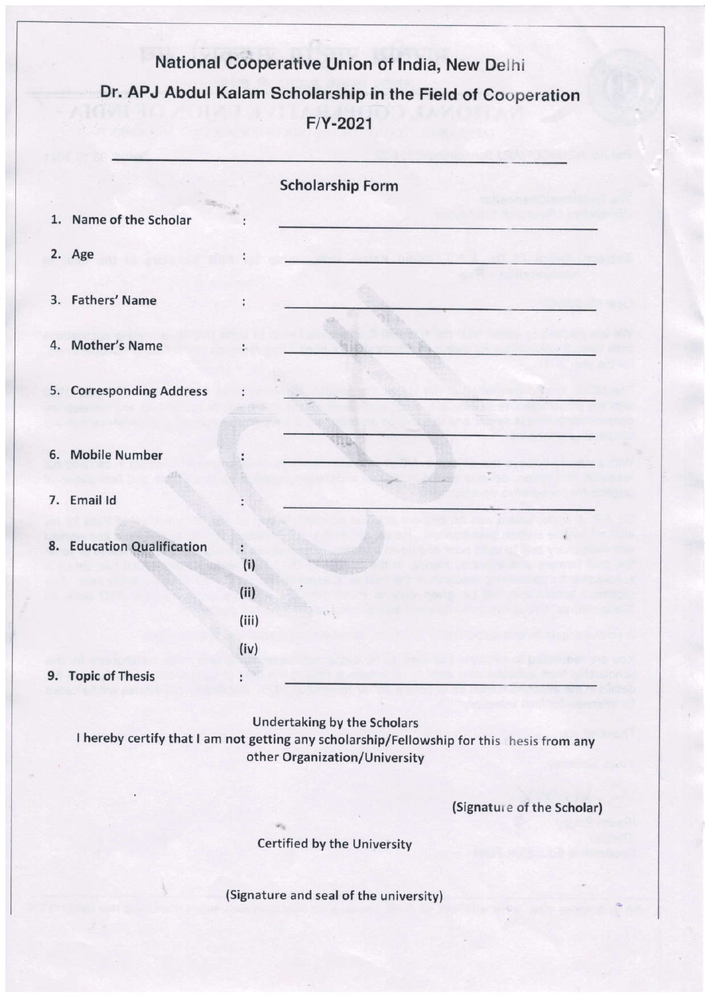# National Cooperative Union of India, New Delhi Dr. APJ Abdul Kalam Scholarship in the Field of Couperation  $F/Y-2021$

|    |                                | <b>Scholarship Form</b>      |  |
|----|--------------------------------|------------------------------|--|
| 1. | Name of the Scholar            |                              |  |
|    | 2. Age                         |                              |  |
|    | 3. Fathers' Name               | ÷                            |  |
| 4. | <b>Mother's Name</b>           |                              |  |
|    | 5. Corresponding Address       |                              |  |
| 6. | <b>Mobile Number</b>           |                              |  |
|    | 7. Email Id                    |                              |  |
| 8. | <b>Education Qualification</b> | ÷<br>(i)                     |  |
|    |                                | (ii)<br>$\mathcal{C}^{\ast}$ |  |
|    |                                | (iii)                        |  |
|    | 9. Topic of Thesis             | (iv)<br>÷                    |  |
|    |                                |                              |  |

Undertaking by the Scholars

I hereby certify that I am not getting any scholarship/Fellowship for this hesis from any other Organization/University

(Signature of the Scholar)

Certified by the University

(Signature and seal of the university)